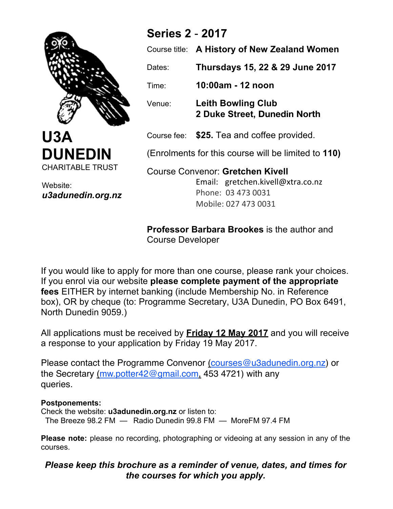

**U3A DUNEDIN** CHARITABLE TRUST

Website: *u3adunedin.org.nz*

## **Series 2** - **2017**

|                                                                              | Course title: A History of New Zealand Women              |
|------------------------------------------------------------------------------|-----------------------------------------------------------|
| Dates:                                                                       | Thursdays 15, 22 & 29 June 2017                           |
| Time:                                                                        | 10:00am - 12 noon                                         |
| Venue:                                                                       | <b>Leith Bowling Club</b><br>2 Duke Street, Dunedin North |
|                                                                              | Course fee: \$25. Tea and coffee provided.                |
| (Enrolments for this course will be limited to 110)                          |                                                           |
| <b>Course Convenor: Gretchen Kivell</b><br>Email: gretchen.kivell@xtra.co.nz |                                                           |

Phone: 03 473 0031 Mobile: 027 473 0031

**Professor Barbara Brookes** is the author and Course Developer

If you would like to apply for more than one course, please rank your choices. If you enrol via our website **please complete payment of the appropriate fees** EITHER by internet banking (include Membership No. in Reference box), OR by cheque (to: Programme Secretary, U3A Dunedin, PO Box 6491, North Dunedin 9059.)

All applications must be received by **Friday 12 May 2017** and you will receive a response to your application by Friday 19 May 2017.

the Secretary <u>(mw.potter42@gmail.com,</u> 453 4721) with any Please contact the Programme Convenor (courses@u3adunedin.org.nz) or queries.

## **Postponements:**

Check the website: **u3adunedin.org.nz** or listen to: The Breeze 98.2 FM — Radio Dunedin 99.8 FM — MoreFM 97.4 FM

**Please note:** please no recording, photographing or videoing at any session in any of the courses.

## *Please keep this brochure as a reminder of venue, dates, and times for the courses for which you apply.*